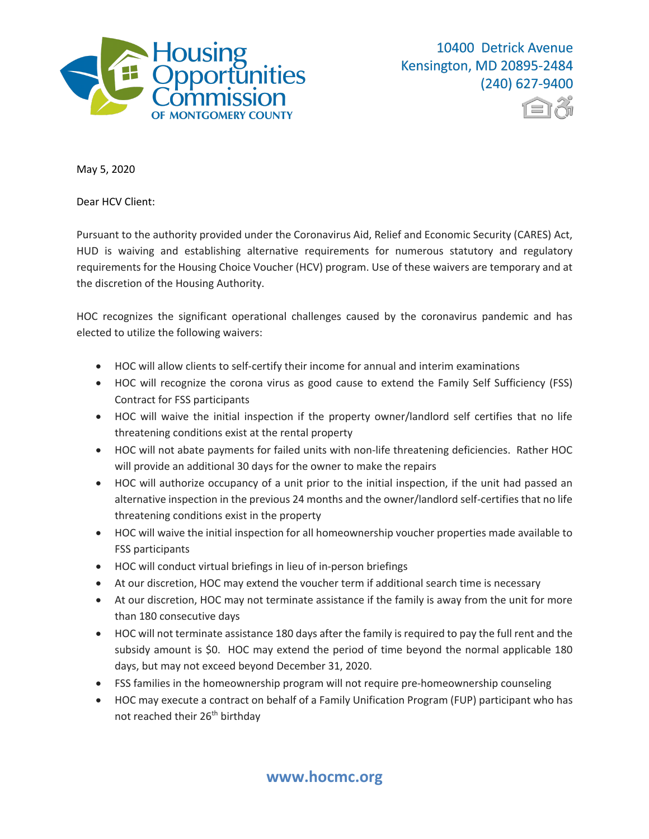



May 5, 2020

Dear HCV Client:

Pursuant to the authority provided under the Coronavirus Aid, Relief and Economic Security (CARES) Act, HUD is waiving and establishing alternative requirements for numerous statutory and regulatory requirements for the Housing Choice Voucher (HCV) program. Use of these waivers are temporary and at the discretion of the Housing Authority.

HOC recognizes the significant operational challenges caused by the coronavirus pandemic and has elected to utilize the following waivers:

- HOC will allow clients to self-certify their income for annual and interim examinations
- HOC will recognize the corona virus as good cause to extend the Family Self Sufficiency (FSS) Contract for FSS participants
- HOC will waive the initial inspection if the property owner/landlord self certifies that no life threatening conditions exist at the rental property
- HOC will not abate payments for failed units with non-life threatening deficiencies. Rather HOC will provide an additional 30 days for the owner to make the repairs
- HOC will authorize occupancy of a unit prior to the initial inspection, if the unit had passed an alternative inspection in the previous 24 months and the owner/landlord self-certifies that no life threatening conditions exist in the property
- HOC will waive the initial inspection for all homeownership voucher properties made available to FSS participants
- HOC will conduct virtual briefings in lieu of in-person briefings
- At our discretion, HOC may extend the voucher term if additional search time is necessary
- At our discretion, HOC may not terminate assistance if the family is away from the unit for more than 180 consecutive days
- HOC will not terminate assistance 180 days after the family is required to pay the full rent and the subsidy amount is \$0. HOC may extend the period of time beyond the normal applicable 180 days, but may not exceed beyond December 31, 2020.
- FSS families in the homeownership program will not require pre-homeownership counseling
- HOC may execute a contract on behalf of a Family Unification Program (FUP) participant who has not reached their 26<sup>th</sup> birthday